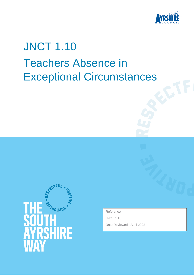

# JNCT 1.10 Teachers Absence in Exceptional Circumstances



Reference:

JNCT 1.10

Date Reviewed: April 2022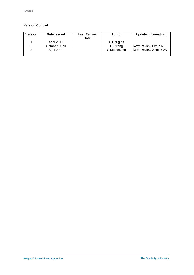#### **Version Control**

| <b>Version</b> | Date Issued       | <b>Last Review</b><br>Date | Author       | <b>Update Information</b> |
|----------------|-------------------|----------------------------|--------------|---------------------------|
|                | April 2015        |                            | C Douglas    |                           |
|                | October 2020      |                            | D Strang     | Next Review Oct 2023      |
|                | <b>April 2022</b> |                            | S Mulholland | Next Review April 2025    |
|                |                   |                            |              |                           |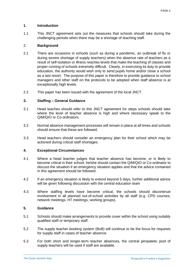# **1. Introduction**

1.1 This JNCT agreement sets out the measures that schools should take during the challenging periods when there may be a shortage of teaching staff.

# 2. **Background**

- 2.1 There are occasions in schools (such as during a pandemic, an outbreak of flu or during severe shortage of supply teachers) when the absence rate of teachers as a result of self-isolation or illness reaches levels that make the teaching of classes and proper running of schools extremely difficult. Clearly, in exercising its duty to provide education, the authority would wish only to send pupils home and/or close a school as a last resort. The purpose of this paper is therefore to provide guidance to school managers and other staff on the protocols to be adopted when staff absence is at exceptionally high levels.
- 2.2 This paper has been issued with the agreement of the local JNCT.

# **3. Staffing – General Guidance**

- 3.1 Head teaches should refer to this JNCT agreement for steps schools should take where the level of teacher absence is high and where necessary speak to the QIM/QIO or Co-ordinators.
- 3.2 Normal absence management processes will remain in place at all times and schools should ensure that these are followed.
- 3.3 Head teachers should consider an emergency plan for their school which may be actioned during critical staff shortages.

### **4. Exceptional Circumstances**

- 4.1 Where a head teacher judges that teacher absence has become, or is likely to become critical in their school, he/she should contact the QIM/QIO or Co-ordinator to discuss the situation if an emergency situation applies and that the advice contained in this agreement should be followed.
- 4.2 If an emergency situation is likely to extend beyond 5 days, further additional advice will be given following discussion with the central education team
- 4.3 Where staffing levels have become critical, the schools should discontinue involvement in all planned out-of-school activities by all staff (e.g. CPD courses, network meetings, HT meetings, working groups).

### **5. Guidance**

- 5.1 Schools should make arrangements to provide cover within the school using suitably qualified staff or temporary staff.
- 5.2 The supply teacher booking system (BoB) will continue to be the focus for requests for supply staff in cases of teacher absence.
- 5.3 For both short and longer-term teacher absences, the central peripatetic pool of supply teachers will be used if staff are available.